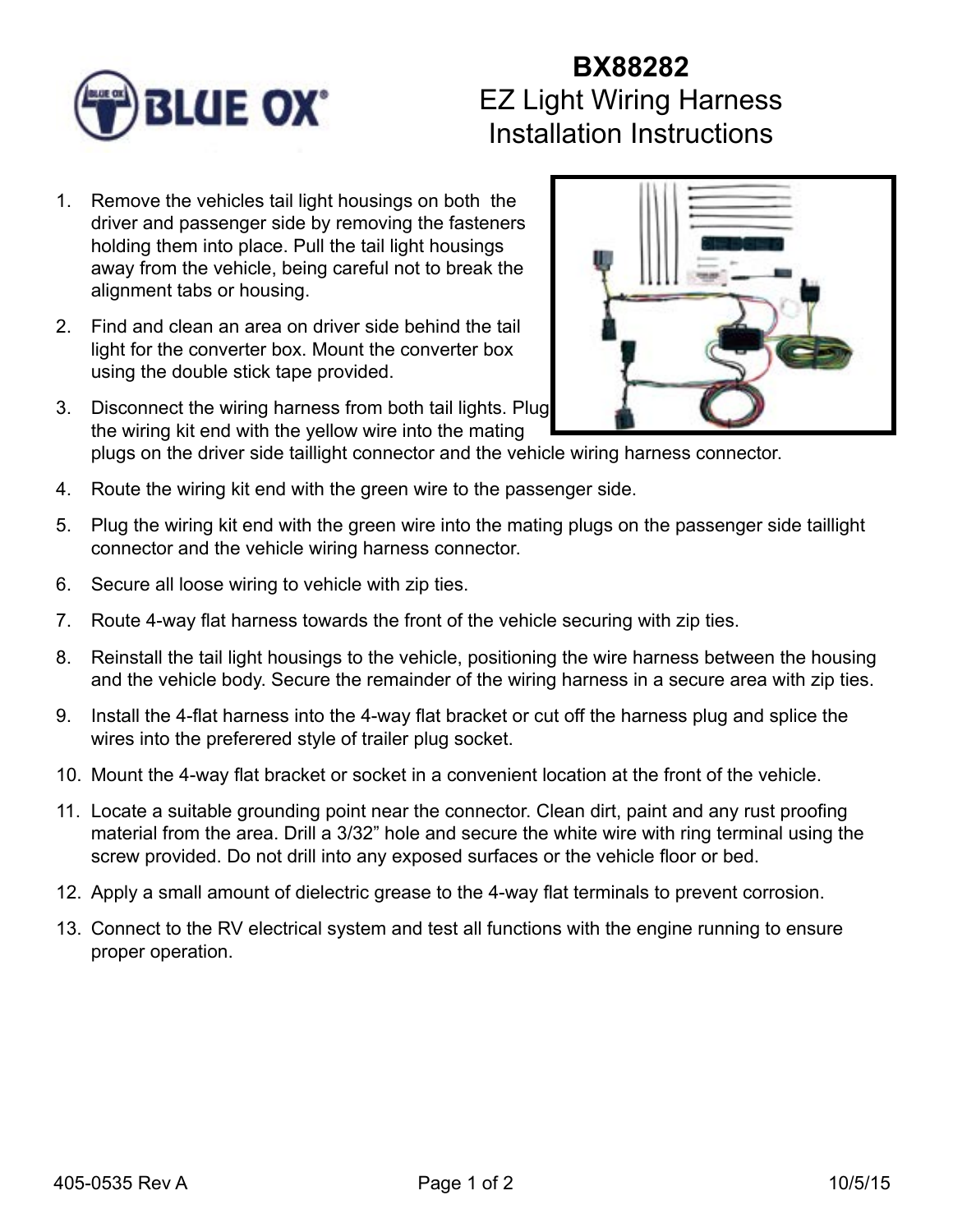

## **BX88282** EZ Light Wiring Harness Installation Instructions

- 1. Remove the vehicles tail light housings on both the driver and passenger side by removing the fasteners holding them into place. Pull the tail light housings away from the vehicle, being careful not to break the alignment tabs or housing.
- 2. Find and clean an area on driver side behind the tail light for the converter box. Mount the converter box using the double stick tape provided.
- 3. Disconnect the wiring harness from both tail lights. Plug the wiring kit end with the yellow wire into the mating plugs on the driver side taillight connector and the vehicle wiring harness connector.
- 4. Route the wiring kit end with the green wire to the passenger side.
- 5. Plug the wiring kit end with the green wire into the mating plugs on the passenger side taillight connector and the vehicle wiring harness connector.
- 6. Secure all loose wiring to vehicle with zip ties.
- 7. Route 4-way flat harness towards the front of the vehicle securing with zip ties.
- 8. Reinstall the tail light housings to the vehicle, positioning the wire harness between the housing and the vehicle body. Secure the remainder of the wiring harness in a secure area with zip ties.
- 9. Install the 4-flat harness into the 4-way flat bracket or cut off the harness plug and splice the wires into the preferered style of trailer plug socket.
- 10. Mount the 4-way flat bracket or socket in a convenient location at the front of the vehicle.
- 11. Locate a suitable grounding point near the connector. Clean dirt, paint and any rust proofing material from the area. Drill a 3/32" hole and secure the white wire with ring terminal using the screw provided. Do not drill into any exposed surfaces or the vehicle floor or bed.
- 12. Apply a small amount of dielectric grease to the 4-way flat terminals to prevent corrosion.
- 13. Connect to the RV electrical system and test all functions with the engine running to ensure proper operation.